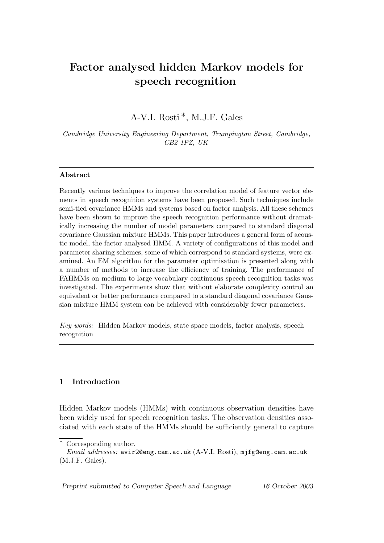# Factor analysed hidden Markov models for speech recognition

A-V.I. Rosti ∗, M.J.F. Gales

Cambridge University Engineering Department, Trumpington Street, Cambridge, CB2 1PZ, UK

#### Abstract

Recently various techniques to improve the correlation model of feature vector elements in speech recognition systems have been proposed. Such techniques include semi-tied covariance HMMs and systems based on factor analysis. All these schemes have been shown to improve the speech recognition performance without dramatically increasing the number of model parameters compared to standard diagonal covariance Gaussian mixture HMMs. This paper introduces a general form of acoustic model, the factor analysed HMM. A variety of configurations of this model and parameter sharing schemes, some of which correspond to standard systems, were examined. An EM algorithm for the parameter optimisation is presented along with a number of methods to increase the efficiency of training. The performance of FAHMMs on medium to large vocabulary continuous speech recognition tasks was investigated. The experiments show that without elaborate complexity control an equivalent or better performance compared to a standard diagonal covariance Gaussian mixture HMM system can be achieved with considerably fewer parameters.

Key words: Hidden Markov models, state space models, factor analysis, speech recognition

## 1 Introduction

Hidden Markov models (HMMs) with continuous observation densities have been widely used for speech recognition tasks. The observation densities associated with each state of the HMMs should be sufficiently general to capture

Preprint submitted to Computer Speech and Language 16 October 2003

Corresponding author.

Email addresses: avir2@eng.cam.ac.uk (A-V.I. Rosti), mjfg@eng.cam.ac.uk (M.J.F. Gales).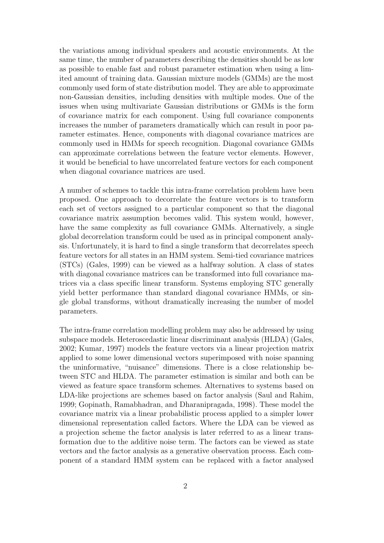the variations among individual speakers and acoustic environments. At the same time, the number of parameters describing the densities should be as low as possible to enable fast and robust parameter estimation when using a limited amount of training data. Gaussian mixture models (GMMs) are the most commonly used form of state distribution model. They are able to approximate non-Gaussian densities, including densities with multiple modes. One of the issues when using multivariate Gaussian distributions or GMMs is the form of covariance matrix for each component. Using full covariance components increases the number of parameters dramatically which can result in poor parameter estimates. Hence, components with diagonal covariance matrices are commonly used in HMMs for speech recognition. Diagonal covariance GMMs can approximate correlations between the feature vector elements. However, it would be beneficial to have uncorrelated feature vectors for each component when diagonal covariance matrices are used.

A number of schemes to tackle this intra-frame correlation problem have been proposed. One approach to decorrelate the feature vectors is to transform each set of vectors assigned to a particular component so that the diagonal covariance matrix assumption becomes valid. This system would, however, have the same complexity as full covariance GMMs. Alternatively, a single global decorrelation transform could be used as in principal component analysis. Unfortunately, it is hard to find a single transform that decorrelates speech feature vectors for all states in an HMM system. Semi-tied covariance matrices (STCs) (Gales, 1999) can be viewed as a halfway solution. A class of states with diagonal covariance matrices can be transformed into full covariance matrices via a class specific linear transform. Systems employing STC generally yield better performance than standard diagonal covariance HMMs, or single global transforms, without dramatically increasing the number of model parameters.

The intra-frame correlation modelling problem may also be addressed by using subspace models. Heteroscedastic linear discriminant analysis (HLDA) (Gales, 2002; Kumar, 1997) models the feature vectors via a linear projection matrix applied to some lower dimensional vectors superimposed with noise spanning the uninformative, "nuisance" dimensions. There is a close relationship between STC and HLDA. The parameter estimation is similar and both can be viewed as feature space transform schemes. Alternatives to systems based on LDA-like projections are schemes based on factor analysis (Saul and Rahim, 1999; Gopinath, Ramabhadran, and Dharanipragada, 1998). These model the covariance matrix via a linear probabilistic process applied to a simpler lower dimensional representation called factors. Where the LDA can be viewed as a projection scheme the factor analysis is later referred to as a linear transformation due to the additive noise term. The factors can be viewed as state vectors and the factor analysis as a generative observation process. Each component of a standard HMM system can be replaced with a factor analysed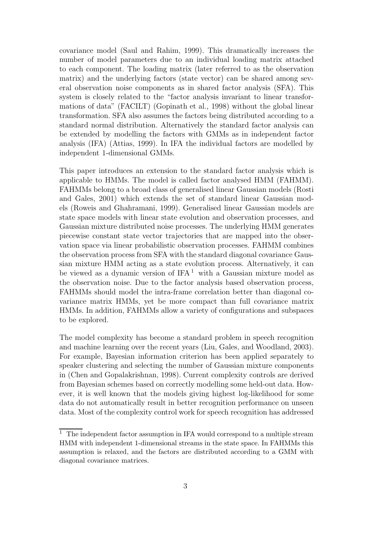covariance model (Saul and Rahim, 1999). This dramatically increases the number of model parameters due to an individual loading matrix attached to each component. The loading matrix (later referred to as the observation matrix) and the underlying factors (state vector) can be shared among several observation noise components as in shared factor analysis (SFA). This system is closely related to the "factor analysis invariant to linear transformations of data" (FACILT) (Gopinath et al., 1998) without the global linear transformation. SFA also assumes the factors being distributed according to a standard normal distribution. Alternatively the standard factor analysis can be extended by modelling the factors with GMMs as in independent factor analysis (IFA) (Attias, 1999). In IFA the individual factors are modelled by independent 1-dimensional GMMs.

This paper introduces an extension to the standard factor analysis which is applicable to HMMs. The model is called factor analysed HMM (FAHMM). FAHMMs belong to a broad class of generalised linear Gaussian models (Rosti and Gales, 2001) which extends the set of standard linear Gaussian models (Roweis and Ghahramani, 1999). Generalised linear Gaussian models are state space models with linear state evolution and observation processes, and Gaussian mixture distributed noise processes. The underlying HMM generates piecewise constant state vector trajectories that are mapped into the observation space via linear probabilistic observation processes. FAHMM combines the observation process from SFA with the standard diagonal covariance Gaussian mixture HMM acting as a state evolution process. Alternatively, it can be viewed as a dynamic version of IFA $<sup>1</sup>$  with a Gaussian mixture model as</sup> the observation noise. Due to the factor analysis based observation process, FAHMMs should model the intra-frame correlation better than diagonal covariance matrix HMMs, yet be more compact than full covariance matrix HMMs. In addition, FAHMMs allow a variety of configurations and subspaces to be explored.

The model complexity has become a standard problem in speech recognition and machine learning over the recent years (Liu, Gales, and Woodland, 2003). For example, Bayesian information criterion has been applied separately to speaker clustering and selecting the number of Gaussian mixture components in (Chen and Gopalakrishnan, 1998). Current complexity controls are derived from Bayesian schemes based on correctly modelling some held-out data. However, it is well known that the models giving highest log-likelihood for some data do not automatically result in better recognition performance on unseen data. Most of the complexity control work for speech recognition has addressed

 $1$  The independent factor assumption in IFA would correspond to a multiple stream HMM with independent 1-dimensional streams in the state space. In FAHMMs this assumption is relaxed, and the factors are distributed according to a GMM with diagonal covariance matrices.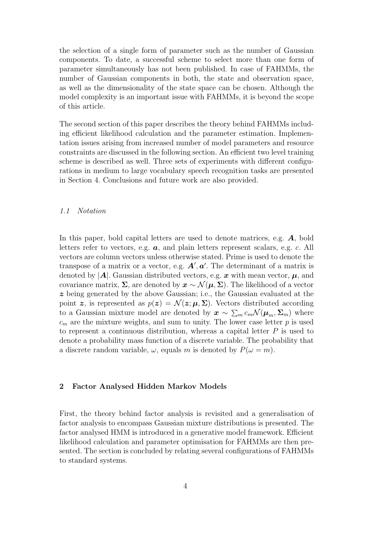the selection of a single form of parameter such as the number of Gaussian components. To date, a successful scheme to select more than one form of parameter simultaneously has not been published. In case of FAHMMs, the number of Gaussian components in both, the state and observation space, as well as the dimensionality of the state space can be chosen. Although the model complexity is an important issue with FAHMMs, it is beyond the scope of this article.

The second section of this paper describes the theory behind FAHMMs including efficient likelihood calculation and the parameter estimation. Implementation issues arising from increased number of model parameters and resource constraints are discussed in the following section. An efficient two level training scheme is described as well. Three sets of experiments with different configurations in medium to large vocabulary speech recognition tasks are presented in Section 4. Conclusions and future work are also provided.

## 1.1 Notation

In this paper, bold capital letters are used to denote matrices, e.g.  $\boldsymbol{A}$ , bold letters refer to vectors, e.g. a, and plain letters represent scalars, e.g. c. All vectors are column vectors unless otherwise stated. Prime is used to denote the transpose of a matrix or a vector, e.g.  $\boldsymbol{A}', \boldsymbol{a}'$ . The determinant of a matrix is denoted by  $|\mathbf{A}|$ . Gaussian distributed vectors, e.g. x with mean vector,  $\boldsymbol{\mu}$ , and covariance matrix,  $\Sigma$ , are denoted by  $x \sim \mathcal{N}(\mu, \Sigma)$ . The likelihood of a vector z being generated by the above Gaussian; i.e., the Gaussian evaluated at the point z, is represented as  $p(z) = \mathcal{N}(z; \mu, \Sigma)$ . Vectors distributed according to a Gaussian mixture model are denoted by  $x \sim \sum_m c_m \mathcal{N}(\mu_m, \Sigma_m)$  where  $c_m$  are the mixture weights, and sum to unity. The lower case letter  $p$  is used to represent a continuous distribution, whereas a capital letter  $P$  is used to denote a probability mass function of a discrete variable. The probability that a discrete random variable,  $\omega$ , equals m is denoted by  $P(\omega = m)$ .

## 2 Factor Analysed Hidden Markov Models

First, the theory behind factor analysis is revisited and a generalisation of factor analysis to encompass Gaussian mixture distributions is presented. The factor analysed HMM is introduced in a generative model framework. Efficient likelihood calculation and parameter optimisation for FAHMMs are then presented. The section is concluded by relating several configurations of FAHMMs to standard systems.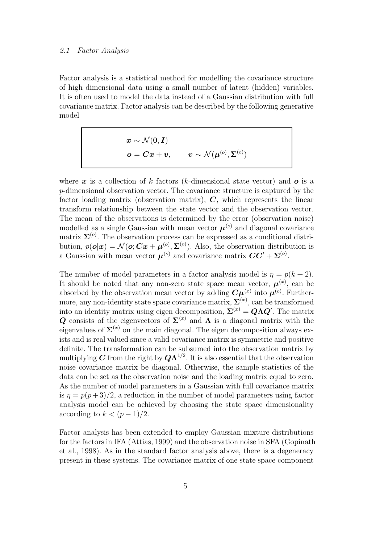#### 2.1 Factor Analysis

Factor analysis is a statistical method for modelling the covariance structure of high dimensional data using a small number of latent (hidden) variables. It is often used to model the data instead of a Gaussian distribution with full covariance matrix. Factor analysis can be described by the following generative model

> $\boldsymbol{x}\sim\mathcal{N}(\boldsymbol{0},\boldsymbol{I})$  $\boldsymbol{o} = \boldsymbol{Cx} + \boldsymbol{v}, \qquad \boldsymbol{v} \sim \mathcal{N}(\boldsymbol{\mu}^{(o)}, \boldsymbol{\Sigma}^{(o)})$

where  $x$  is a collection of k factors (k-dimensional state vector) and  $\boldsymbol{o}$  is a p-dimensional observation vector. The covariance structure is captured by the factor loading matrix (observation matrix),  $C$ , which represents the linear transform relationship between the state vector and the observation vector. The mean of the observations is determined by the error (observation noise) modelled as a single Gaussian with mean vector  $\mu^{(o)}$  and diagonal covariance matrix  $\Sigma^{(o)}$ . The observation process can be expressed as a conditional distribution,  $p(\boldsymbol{o}|\boldsymbol{x}) = \mathcal{N}(\boldsymbol{o}; \boldsymbol{C}\boldsymbol{x} + \boldsymbol{\mu}_{(0)}^{(o)}, \boldsymbol{\Sigma}^{(o)})$ . Also, the observation distribution is a Gaussian with mean vector  $\mu^{(o)}$  and covariance matrix  $CC' + \Sigma^{(o)}$ .

The number of model parameters in a factor analysis model is  $\eta = p(k+2)$ . It should be noted that any non-zero state space mean vector,  $\boldsymbol{\mu}^{(x)}$ , can be absorbed by the observation mean vector by adding  $\mathcal{C}\mu^{(x)}$  into  $\mu^{(o)}$ . Furthermore, any non-identity state space covariance matrix,  $\Sigma^{(x)}$ , can be transformed into an identity matrix using eigen decomposition,  $\Sigma^{(x)} = Q \Lambda Q'$ . The matrix Q consists of the eigenvectors of  $\Sigma^{(x)}$  and  $\Lambda$  is a diagonal matrix with the eigenvalues of  $\Sigma^{(x)}$  on the main diagonal. The eigen decomposition always exists and is real valued since a valid covariance matrix is symmetric and positive definite. The transformation can be subsumed into the observation matrix by multiplying  $C$  from the right by  $Q\Lambda^{1/2}$ . It is also essential that the observation noise covariance matrix be diagonal. Otherwise, the sample statistics of the data can be set as the observation noise and the loading matrix equal to zero. As the number of model parameters in a Gaussian with full covariance matrix is  $\eta = p(p+3)/2$ , a reduction in the number of model parameters using factor analysis model can be achieved by choosing the state space dimensionality according to  $k < (p-1)/2$ .

Factor analysis has been extended to employ Gaussian mixture distributions for the factors in IFA (Attias, 1999) and the observation noise in SFA (Gopinath et al., 1998). As in the standard factor analysis above, there is a degeneracy present in these systems. The covariance matrix of one state space component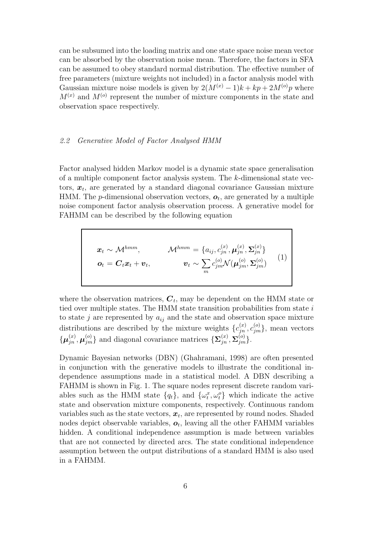can be subsumed into the loading matrix and one state space noise mean vector can be absorbed by the observation noise mean. Therefore, the factors in SFA can be assumed to obey standard normal distribution. The effective number of free parameters (mixture weights not included) in a factor analysis model with Gaussian mixture noise models is given by  $2(M^{(x)}-1)k + kp + 2M^{(0)}p$  where  $M^{(x)}$  and  $M^{(o)}$  represent the number of mixture components in the state and observation space respectively.

#### 2.2 Generative Model of Factor Analysed HMM

Factor analysed hidden Markov model is a dynamic state space generalisation of a multiple component factor analysis system. The k-dimensional state vectors,  $x_t$ , are generated by a standard diagonal covariance Gaussian mixture HMM. The *p*-dimensional observation vectors,  $o_t$ , are generated by a multiple noise component factor analysis observation process. A generative model for FAHMM can be described by the following equation

$$
\boldsymbol{x}_t \sim \mathcal{M}^{hmm}, \qquad \mathcal{M}^{hmm} = \{a_{ij}, c_{jn}^{(x)}, \boldsymbol{\mu}_{jn}^{(x)}, \boldsymbol{\Sigma}_{jn}^{(x)}\}\n\n\boldsymbol{o}_t = \boldsymbol{C}_t \boldsymbol{x}_t + \boldsymbol{v}_t, \qquad \boldsymbol{v}_t \sim \sum_m c_{jm}^{(o)} \mathcal{N}(\boldsymbol{\mu}_{jm}^{(o)}, \boldsymbol{\Sigma}_{jm}^{(o)})
$$
\n(1)

where the observation matrices,  $C_t$ , may be dependent on the HMM state or tied over multiple states. The HMM state transition probabilities from state i to state j are represented by  $a_{ij}$  and the state and observation space mixture distributions are described by the mixture weights  ${c_{j_n}^{(x)}}$  $\binom{(x)}{jn}, c_{jm}^{(o)}\},$  mean vectors  $\{\boldsymbol{\mu}_{jn}^{(x)}$  $\{\boldsymbol{\mu}_{jn}^{(x)}, \boldsymbol{\mu}_{jm}^{(o)}\}$  and diagonal covariance matrices  $\{\boldsymbol{\Sigma}_{jn}^{(x)}\}$  $_{jn}^{(x)}, \mathbf{\Sigma}_{jm}^{(o)}\}.$ 

Dynamic Bayesian networks (DBN) (Ghahramani, 1998) are often presented in conjunction with the generative models to illustrate the conditional independence assumptions made in a statistical model. A DBN describing a FAHMM is shown in Fig. 1. The square nodes represent discrete random variables such as the HMM state  $\{q_t\}$ , and  $\{\omega_t^x, \omega_t^o\}$  which indicate the active state and observation mixture components, respectively. Continuous random variables such as the state vectors,  $x_t$ , are represented by round nodes. Shaded nodes depict observable variables,  $o_t$ , leaving all the other FAHMM variables hidden. A conditional independence assumption is made between variables that are not connected by directed arcs. The state conditional independence assumption between the output distributions of a standard HMM is also used in a FAHMM.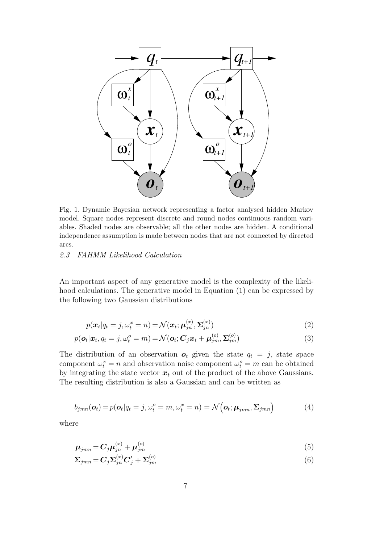

Fig. 1. Dynamic Bayesian network representing a factor analysed hidden Markov model. Square nodes represent discrete and round nodes continuous random variables. Shaded nodes are observable; all the other nodes are hidden. A conditional independence assumption is made between nodes that are not connected by directed arcs.

#### 2.3 FAHMM Likelihood Calculation

An important aspect of any generative model is the complexity of the likelihood calculations. The generative model in Equation (1) can be expressed by the following two Gaussian distributions

$$
p(\boldsymbol{x}_t|q_t=j,\omega_t^x=n)=\mathcal{N}(\boldsymbol{x}_t;\boldsymbol{\mu}_{jn}^{(x)},\boldsymbol{\Sigma}_{jn}^{(x)})
$$
\n(2)

$$
p(\boldsymbol{o}_t|\boldsymbol{x}_t, q_t = j, \omega_t^o = m) = \mathcal{N}(\boldsymbol{o}_t; \boldsymbol{C}_j \boldsymbol{x}_t + \boldsymbol{\mu}_{jm}^{(o)}, \boldsymbol{\Sigma}_{jm}^{(o)})
$$
(3)

The distribution of an observation  $o_t$  given the state  $q_t = j$ , state space component  $\omega_t^x = n$  and observation noise component  $\omega_t^o = m$  can be obtained by integrating the state vector  $x_t$  out of the product of the above Gaussians. The resulting distribution is also a Gaussian and can be written as

$$
b_{jmn}(\boldsymbol{o}_t) = p(\boldsymbol{o}_t | q_t = j, \omega_t^o = m, \omega_t^x = n) = \mathcal{N}\big(\boldsymbol{o}_t; \boldsymbol{\mu}_{jmn}, \boldsymbol{\Sigma}_{jmn}\big) \tag{4}
$$

where

$$
\boldsymbol{\mu}_{jmn} = \boldsymbol{C}_j \boldsymbol{\mu}_{jn}^{(x)} + \boldsymbol{\mu}_{jm}^{(o)}
$$
\n(5)

$$
\Sigma_{jmn} = \mathbf{C}_j \Sigma_{jn}^{(x)} \mathbf{C}_j' + \Sigma_{jm}^{(o)}
$$
(6)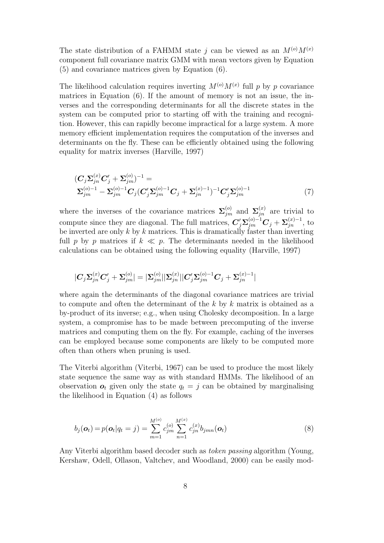The state distribution of a FAHMM state j can be viewed as an  $M^{(o)}M^{(x)}$ component full covariance matrix GMM with mean vectors given by Equation (5) and covariance matrices given by Equation (6).

The likelihood calculation requires inverting  $M^{(o)}M^{(x)}$  full p by p covariance matrices in Equation (6). If the amount of memory is not an issue, the inverses and the corresponding determinants for all the discrete states in the system can be computed prior to starting off with the training and recognition. However, this can rapidly become impractical for a large system. A more memory efficient implementation requires the computation of the inverses and determinants on the fly. These can be efficiently obtained using the following equality for matrix inverses (Harville, 1997)

$$
\begin{aligned} & (\boldsymbol{C}_{j} \boldsymbol{\Sigma}_{jn}^{(x)} \boldsymbol{C}_{j}^{\prime} + \boldsymbol{\Sigma}_{jm}^{(o)})^{-1} = \\ & \boldsymbol{\Sigma}_{jm}^{(o)-1} - \boldsymbol{\Sigma}_{jm}^{(o)-1} \boldsymbol{C}_{j} (\boldsymbol{C}_{j}^{\prime} \boldsymbol{\Sigma}_{jm}^{(o)-1} \boldsymbol{C}_{j} + \boldsymbol{\Sigma}_{jn}^{(x)-1})^{-1} \boldsymbol{C}_{j}^{\prime} \boldsymbol{\Sigma}_{jm}^{(o)-1} \end{aligned} \tag{7}
$$

where the inverses of the covariance matrices  $\Sigma_{jm}^{(o)}$  and  $\Sigma_{jn}^{(x)}$  are trivial to compute since they are diagonal. The full matrices,  $C'_{j} \Sigma_{jm}^{(o)-1} C_j + \Sigma_{jn}^{(x)-1}$ , to be inverted are only  $k$  by  $k$  matrices. This is dramatically faster than inverting full p by p matrices if  $k \ll p$ . The determinants needed in the likelihood calculations can be obtained using the following equality (Harville, 1997)

$$
|\boldsymbol{C}_j\boldsymbol{\Sigma}_{jn}^{(x)}\boldsymbol{C}_j' + \boldsymbol{\Sigma}_{jm}^{(o)}| = |\boldsymbol{\Sigma}_{jm}^{(o)}||\boldsymbol{\Sigma}_{jn}^{(x)}||\boldsymbol{C}_j'\boldsymbol{\Sigma}_{jm}^{(o)-1}\boldsymbol{C}_j + \boldsymbol{\Sigma}_{jn}^{(x)-1}|
$$

where again the determinants of the diagonal covariance matrices are trivial to compute and often the determinant of the  $k$  by  $k$  matrix is obtained as a by-product of its inverse; e.g., when using Cholesky decomposition. In a large system, a compromise has to be made between precomputing of the inverse matrices and computing them on the fly. For example, caching of the inverses can be employed because some components are likely to be computed more often than others when pruning is used.

The Viterbi algorithm (Viterbi, 1967) can be used to produce the most likely state sequence the same way as with standard HMMs. The likelihood of an observation  $o_t$  given only the state  $q_t = i$  can be obtained by marginalising the likelihood in Equation (4) as follows

$$
b_j(\boldsymbol{o}_t) = p(\boldsymbol{o}_t | q_t = j) = \sum_{m=1}^{M^{(o)}} c_{jm}^{(o)} \sum_{n=1}^{M^{(x)}} c_{jn}^{(x)} b_{jmn}(\boldsymbol{o}_t)
$$
(8)

Any Viterbi algorithm based decoder such as token passing algorithm (Young, Kershaw, Odell, Ollason, Valtchev, and Woodland, 2000) can be easily mod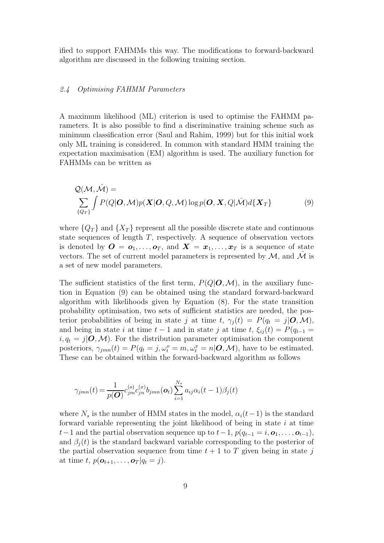ified to support FAHMMs this way. The modifications to forward-backward algorithm are discussed in the following training section.

# 2.4 Optimising FAHMM Parameters

A maximum likelihood (ML) criterion is used to optimise the FAHMM parameters. It is also possible to find a discriminative training scheme such as minimum classification error (Saul and Rahim, 1999) but for this initial work only ML training is considered. In common with standard HMM training the expectation maximisation (EM) algorithm is used. The auxiliary function for FAHMMs can be written as

$$
Q(\mathcal{M}, \hat{\mathcal{M}}) = \sum_{\{Q_T\}} \int P(Q|\mathbf{O}, \mathcal{M}) p(\mathbf{X}|\mathbf{O}, Q, \mathcal{M}) \log p(\mathbf{O}, \mathbf{X}, Q|\hat{\mathcal{M}}) d\{\mathbf{X}_T\}
$$
(9)

where  ${Q_T}$  and  ${X_T}$  represent all the possible discrete state and continuous state sequences of length  $T$ , respectively. A sequence of observation vectors is denoted by  $\mathbf{O} = \mathbf{o}_1, \dots, \mathbf{o}_T$ , and  $\mathbf{X} = \mathbf{x}_1, \dots, \mathbf{x}_T$  is a sequence of state vectors. The set of current model parameters is represented by  $\mathcal{M}$ , and  $\mathcal{M}$  is a set of new model parameters.

The sufficient statistics of the first term,  $P(Q|O, M)$ , in the auxiliary function in Equation (9) can be obtained using the standard forward-backward algorithm with likelihoods given by Equation (8). For the state transition probability optimisation, two sets of sufficient statistics are needed, the posterior probabilities of being in state j at time t,  $\gamma_i(t) = P(q_t = j | \mathbf{O}, \mathcal{M})$ , and being in state i at time  $t - 1$  and in state j at time  $t$ ,  $\xi_{ii}(t) = P(q_{t-1} =$  $i, q_t = j | \mathbf{O}, \mathcal{M}$ . For the distribution parameter optimisation the component posteriors,  $\gamma_{jmn}(t) = P(q_t = j, \omega_t^o = m, \omega_t^x = n | \mathbf{O}, \mathcal{M})$ , have to be estimated. These can be obtained within the forward-backward algorithm as follows

$$
\gamma_{jmn}(t) = \frac{1}{p(\boldsymbol{O})} c_{jm}^{(o)} c_{jn}^{(x)} b_{jmn}(\boldsymbol{o}_t) \sum_{i=1}^{N_s} a_{ij} \alpha_i (t-1) \beta_j(t)
$$

where  $N_s$  is the number of HMM states in the model,  $\alpha_i(t-1)$  is the standard forward variable representing the joint likelihood of being in state  $i$  at time  $t-1$  and the partial observation sequence up to  $t-1$ ,  $p(q_{t-1} = i, o_1, \ldots, o_{t-1}),$ and  $\beta_i(t)$  is the standard backward variable corresponding to the posterior of the partial observation sequence from time  $t + 1$  to T given being in state j at time t,  $p(\mathbf{o}_{t+1}, \ldots, \mathbf{o}_T | q_t = j)$ .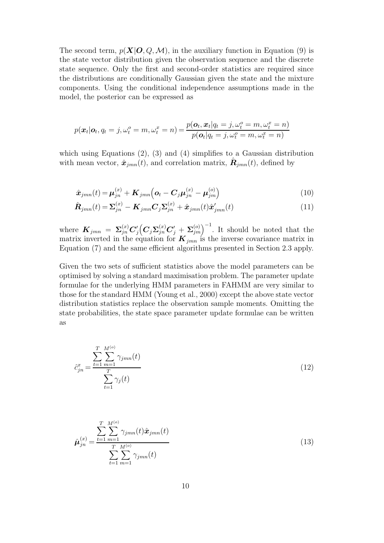The second term,  $p(X|O, Q, M)$ , in the auxiliary function in Equation (9) is the state vector distribution given the observation sequence and the discrete state sequence. Only the first and second-order statistics are required since the distributions are conditionally Gaussian given the state and the mixture components. Using the conditional independence assumptions made in the model, the posterior can be expressed as

$$
p(\boldsymbol{x}_t|\boldsymbol{o}_t, q_t = j, \omega_t^o = m, \omega_t^x = n) = \frac{p(\boldsymbol{o}_t, \boldsymbol{x}_t|q_t = j, \omega_t^o = m, \omega_t^x = n)}{p(\boldsymbol{o}_t|q_t = j, \omega_t^o = m, \omega_t^x = n)}
$$

which using Equations  $(2)$ ,  $(3)$  and  $(4)$  simplifies to a Gaussian distribution with mean vector,  $\hat{\mathbf{x}}_{jmn}(t)$ , and correlation matrix,  $\hat{\mathbf{R}}_{jmn}(t)$ , defined by

$$
\hat{\boldsymbol{x}}_{jmn}(t) = \boldsymbol{\mu}_{jn}^{(x)} + \boldsymbol{K}_{jmn} \left( \boldsymbol{o}_t - \boldsymbol{C}_j \boldsymbol{\mu}_{jn}^{(x)} - \boldsymbol{\mu}_{jm}^{(o)} \right)
$$
(10)

$$
\hat{\boldsymbol{R}}_{jmn}(t) = \boldsymbol{\Sigma}_{jn}^{(x)} - \boldsymbol{K}_{jmn} \boldsymbol{C}_j \boldsymbol{\Sigma}_{jn}^{(x)} + \hat{\boldsymbol{x}}_{jmn}(t) \hat{\boldsymbol{x}}'_{jmn}(t)
$$
\n(11)

where  $\boldsymbol{K}_{j m n}$  =  $\boldsymbol{\Sigma}_{j n}^{(x)} \boldsymbol{C}_{j}^{\prime}$  $\left(\boldsymbol{C}_j\boldsymbol{\Sigma}_{jn}^{(x)}\boldsymbol{C}_j^{\prime} + \boldsymbol{\Sigma}_{jm}^{(o)}\right)$  $_{jm}$  $\int$ <sup>-1</sup>. It should be noted that the matrix inverted in the equation for  $\mathbf{K}_{jmn}$  is the inverse covariance matrix in Equation (7) and the same efficient algorithms presented in Section 2.3 apply.

Given the two sets of sufficient statistics above the model parameters can be optimised by solving a standard maximisation problem. The parameter update formulae for the underlying HMM parameters in FAHMM are very similar to those for the standard HMM (Young et al., 2000) except the above state vector distribution statistics replace the observation sample moments. Omitting the state probabilities, the state space parameter update formulae can be written as

$$
\hat{c}_{jn}^{x} = \frac{\sum_{t=1}^{T} \sum_{m=1}^{M^{(o)}} \gamma_{jmn}(t)}{\sum_{t=1}^{T} \gamma_j(t)}
$$
\n(12)

$$
\hat{\mu}_{jn}^{(x)} = \frac{\sum_{t=1}^{T} \sum_{m=1}^{M^{(o)}} \gamma_{jmn}(t) \hat{\mathbf{x}}_{jmn}(t)}{\sum_{t=1}^{T} \sum_{m=1}^{M^{(o)}} \gamma_{jmn}(t)}
$$
(13)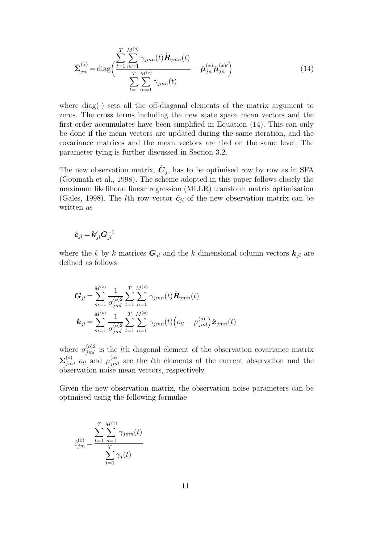$$
\hat{\Sigma}_{jn}^{(x)} = \text{diag}\left(\frac{\sum_{t=1}^{T} \sum_{m=1}^{M^{(o)}} \gamma_{jmn}(t) \hat{\boldsymbol{R}}_{jmn}(t)}{\sum_{t=1}^{T} \sum_{m=1}^{M^{(o)}} \gamma_{jmn}(t)} - \hat{\boldsymbol{\mu}}_{jn}^{(x)} \hat{\boldsymbol{\mu}}_{jn}^{(x)'}\right)
$$
(14)

where  $\text{diag}(\cdot)$  sets all the off-diagonal elements of the matrix argument to zeros. The cross terms including the new state space mean vectors and the first-order accumulates have been simplified in Equation (14). This can only be done if the mean vectors are updated during the same iteration, and the covariance matrices and the mean vectors are tied on the same level. The parameter tying is further discussed in Section 3.2.

The new observation matrix,  $\hat{\mathbf{C}}_j$ , has to be optimised row by row as in SFA (Gopinath et al., 1998). The scheme adopted in this paper follows closely the maximum likelihood linear regression (MLLR) transform matrix optimisation (Gales, 1998). The *l*th row vector  $\hat{\mathbf{c}}_{jl}$  of the new observation matrix can be written as

$$
\hat{\boldsymbol{c}}_{jl}\!=\!\boldsymbol{k}_{jl}'\boldsymbol{G}_{jl}^{-1}
$$

where the k by k matrices  $G_{jl}$  and the k dimensional column vectors  $k_{jl}$  are defined as follows

$$
G_{jl} = \sum_{m=1}^{M^{(o)}} \frac{1}{\sigma_{jml}^{(o)2}} \sum_{t=1}^{T} \sum_{n=1}^{M^{(x)}} \gamma_{jmn}(t) \hat{R}_{jmn}(t)
$$

$$
k_{jl} = \sum_{m=1}^{M^{(o)}} \frac{1}{\sigma_{jml}^{(o)2}} \sum_{t=1}^{T} \sum_{n=1}^{M^{(x)}} \gamma_{jmn}(t) \Big( o_{tl} - \mu_{jml}^{(o)} \Big) \hat{x}_{jmn}(t)
$$

where  $\sigma_{jml}^{(o)2}$  is the *l*th diagonal element of the observation covariance matrix  $\Sigma_{jm}^{(o)}$ ,  $o_{tl}$  and  $\mu_{jml}^{(o)}$  are the *l*th elements of the current observation and the observation noise mean vectors, respectively.

Given the new observation matrix, the observation noise parameters can be optimised using the following formulae

$$
\hat{c}_{jm}^{(o)} = \frac{\sum_{t=1}^{T} \sum_{n=1}^{M^{(x)}} \gamma_{jmn}(t)}{\sum_{t=1}^{T} \gamma_j(t)}
$$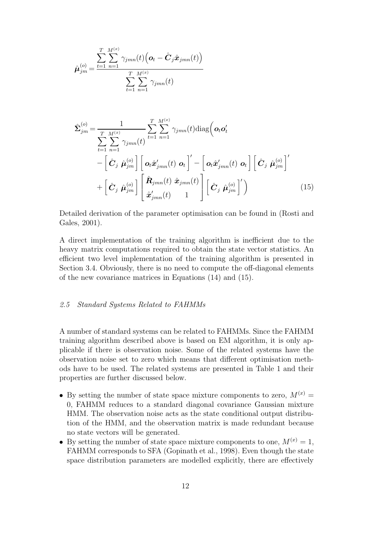$$
\hat{\bm{\mu}}_{jm}^{(o)} = \frac{\sum_{t=1}^{T} \sum_{n=1}^{M^{(x)}} \gamma_{jmn}(t) \Big( \bm{o}_t - \hat{\bm{C}}_j \hat{\bm{x}}_{jmn}(t) \Big)}{\sum_{t=1}^{T} \sum_{n=1}^{M^{(x)}} \gamma_{jmn}(t)}
$$

$$
\hat{\Sigma}_{jm}^{(o)} = \frac{1}{\sum_{t=1}^{T} \sum_{n=1}^{M^{(x)}} \gamma_{jmn}(t)} \sum_{t=1}^{T} \sum_{n=1}^{M^{(x)}} \gamma_{jmn}(t) \text{diag}\left(\boldsymbol{o}_t \boldsymbol{o}_t'\right)
$$
\n
$$
-\left[\hat{\boldsymbol{C}}_j \hat{\boldsymbol{\mu}}_{jm}^{(o)}\right] \left[\boldsymbol{o}_t \hat{\boldsymbol{x}}'_{jmn}(t) \boldsymbol{o}_t\right]' - \left[\boldsymbol{o}_t \hat{\boldsymbol{x}}'_{jmn}(t) \boldsymbol{o}_t\right] \left[\hat{\boldsymbol{C}}_j \hat{\boldsymbol{\mu}}_{jm}^{(o)}\right]'
$$
\n
$$
+\left[\hat{\boldsymbol{C}}_j \hat{\boldsymbol{\mu}}_{jm}^{(o)}\right] \left[\hat{\boldsymbol{R}}_{jmn}(t) \hat{\boldsymbol{x}}_{jmn}(t)\right] \left[\hat{\boldsymbol{C}}_j \hat{\boldsymbol{\mu}}_{jm}^{(o)}\right]'
$$
\n
$$
(15)
$$

Detailed derivation of the parameter optimisation can be found in (Rosti and Gales, 2001).

A direct implementation of the training algorithm is inefficient due to the heavy matrix computations required to obtain the state vector statistics. An efficient two level implementation of the training algorithm is presented in Section 3.4. Obviously, there is no need to compute the off-diagonal elements of the new covariance matrices in Equations (14) and (15).

## 2.5 Standard Systems Related to FAHMMs

A number of standard systems can be related to FAHMMs. Since the FAHMM training algorithm described above is based on EM algorithm, it is only applicable if there is observation noise. Some of the related systems have the observation noise set to zero which means that different optimisation methods have to be used. The related systems are presented in Table 1 and their properties are further discussed below.

- By setting the number of state space mixture components to zero,  $M^{(x)} =$ 0, FAHMM reduces to a standard diagonal covariance Gaussian mixture HMM. The observation noise acts as the state conditional output distribution of the HMM, and the observation matrix is made redundant because no state vectors will be generated.
- By setting the number of state space mixture components to one,  $M^{(x)} = 1$ , FAHMM corresponds to SFA (Gopinath et al., 1998). Even though the state space distribution parameters are modelled explicitly, there are effectively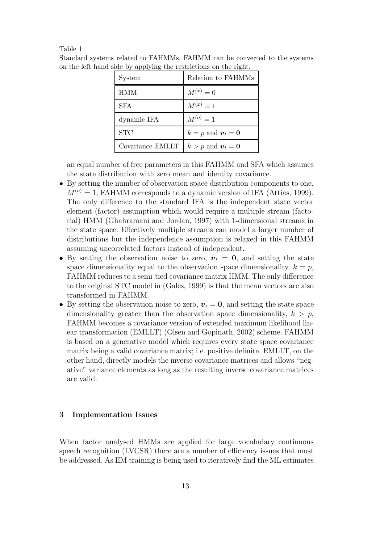#### Table 1

| System           | Relation to FAHMMs    |
|------------------|-----------------------|
| <b>HMM</b>       | $M^{(x)} = 0$         |
| <b>SFA</b>       | $M^{(x)} = 1$         |
| dynamic IFA      | $M^{(o)} = 1$         |
| <b>STC</b>       | $k = p$ and $v_t = 0$ |
| Covariance EMLLT | $k > p$ and $v_t = 0$ |

Standard systems related to FAHMMs. FAHMM can be converted to the systems on the left hand side by applying the restrictions on the right.

an equal number of free parameters in this FAHMM and SFA which assumes the state distribution with zero mean and identity covariance.

- By setting the number of observation space distribution components to one,  $M^{(o)} = 1$ , FAHMM corresponds to a dynamic version of IFA (Attias, 1999). The only difference to the standard IFA is the independent state vector element (factor) assumption which would require a multiple stream (factorial) HMM (Ghahramani and Jordan, 1997) with 1-dimensional streams in the state space. Effectively multiple streams can model a larger number of distributions but the independence assumption is relaxed in this FAHMM assuming uncorrelated factors instead of independent.
- By setting the observation noise to zero,  $v_t = 0$ , and setting the state space dimensionality equal to the observation space dimensionality,  $k = p$ , FAHMM reduces to a semi-tied covariance matrix HMM. The only difference to the original STC model in (Gales, 1999) is that the mean vectors are also transformed in FAHMM.
- By setting the observation noise to zero,  $v_t = 0$ , and setting the state space dimensionality greater than the observation space dimensionality,  $k > p$ , FAHMM becomes a covariance version of extended maximum likelihood linear transformation (EMLLT) (Olsen and Gopinath, 2002) scheme. FAHMM is based on a generative model which requires every state space covariance matrix being a valid covariance matrix; i.e. positive definite. EMLLT, on the other hand, directly models the inverse covariance matrices and allows "negative" variance elements as long as the resulting inverse covariance matrices are valid.

# 3 Implementation Issues

When factor analysed HMMs are applied for large vocabulary continuous speech recognition (LVCSR) there are a number of efficiency issues that must be addressed. As EM training is being used to iteratively find the ML estimates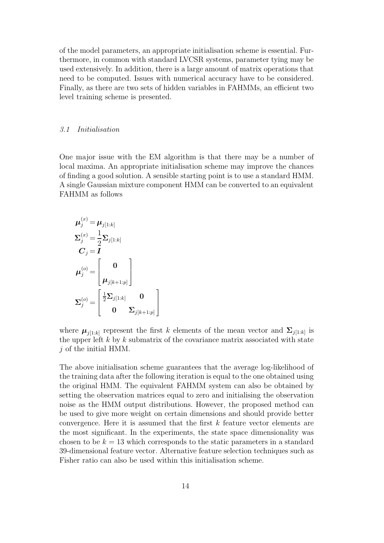of the model parameters, an appropriate initialisation scheme is essential. Furthermore, in common with standard LVCSR systems, parameter tying may be used extensively. In addition, there is a large amount of matrix operations that need to be computed. Issues with numerical accuracy have to be considered. Finally, as there are two sets of hidden variables in FAHMMs, an efficient two level training scheme is presented.

#### 3.1 Initialisation

One major issue with the EM algorithm is that there may be a number of local maxima. An appropriate initialisation scheme may improve the chances of finding a good solution. A sensible starting point is to use a standard HMM. A single Gaussian mixture component HMM can be converted to an equivalent FAHMM as follows

$$
\mu_j^{(x)} = \mu_{j[1:k]}
$$
\n
$$
\Sigma_j^{(x)} = \frac{1}{2} \Sigma_{j[1:k]}
$$
\n
$$
C_j = I
$$
\n
$$
\mu_j^{(o)} = \begin{bmatrix} 0 \\ \mu_{j[k+1:p]} \end{bmatrix}
$$
\n
$$
\Sigma_j^{(o)} = \begin{bmatrix} \frac{1}{2} \Sigma_{j[1:k]} & 0 \\ 0 & \Sigma_{j[k+1:p]} \end{bmatrix}
$$

where  $\mu_{j[1:k]}$  represent the first k elements of the mean vector and  $\Sigma_{j[1:k]}$  is the upper left  $k$  by  $k$  submatrix of the covariance matrix associated with state j of the initial HMM.

The above initialisation scheme guarantees that the average log-likelihood of the training data after the following iteration is equal to the one obtained using the original HMM. The equivalent FAHMM system can also be obtained by setting the observation matrices equal to zero and initialising the observation noise as the HMM output distributions. However, the proposed method can be used to give more weight on certain dimensions and should provide better convergence. Here it is assumed that the first  $k$  feature vector elements are the most significant. In the experiments, the state space dimensionality was chosen to be  $k = 13$  which corresponds to the static parameters in a standard 39-dimensional feature vector. Alternative feature selection techniques such as Fisher ratio can also be used within this initialisation scheme.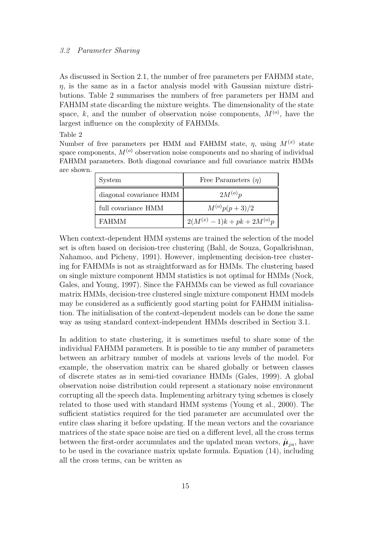## 3.2 Parameter Sharing

As discussed in Section 2.1, the number of free parameters per FAHMM state,  $\eta$ , is the same as in a factor analysis model with Gaussian mixture distributions. Table 2 summarises the numbers of free parameters per HMM and FAHMM state discarding the mixture weights. The dimensionality of the state space, k, and the number of observation noise components,  $M^{(o)}$ , have the largest influence on the complexity of FAHMMs.

## Table 2

Number of free parameters per HMM and FAHMM state,  $\eta$ , using  $M^{(x)}$  state space components,  $M^{(o)}$  observation noise components and no sharing of individual FAHMM parameters. Both diagonal covariance and full covariance matrix HMMs are shown.

| System                  | Free Parameters $(\eta)$         |
|-------------------------|----------------------------------|
| diagonal covariance HMM | $2M^{(o)}p$                      |
| full covariance HMM     | $M^{(o)}p(p+3)/2$                |
| <b>FAHMM</b>            | $2(M^{(x)}-1)k + pk + 2M^{(o)}p$ |

When context-dependent HMM systems are trained the selection of the model set is often based on decision-tree clustering (Bahl, de Souza, Gopalkrishnan, Nahamoo, and Picheny, 1991). However, implementing decision-tree clustering for FAHMMs is not as straightforward as for HMMs. The clustering based on single mixture component HMM statistics is not optimal for HMMs (Nock, Gales, and Young, 1997). Since the FAHMMs can be viewed as full covariance matrix HMMs, decision-tree clustered single mixture component HMM models may be considered as a sufficiently good starting point for FAHMM initialisation. The initialisation of the context-dependent models can be done the same way as using standard context-independent HMMs described in Section 3.1.

In addition to state clustering, it is sometimes useful to share some of the individual FAHMM parameters. It is possible to tie any number of parameters between an arbitrary number of models at various levels of the model. For example, the observation matrix can be shared globally or between classes of discrete states as in semi-tied covariance HMMs (Gales, 1999). A global observation noise distribution could represent a stationary noise environment corrupting all the speech data. Implementing arbitrary tying schemes is closely related to those used with standard HMM systems (Young et al., 2000). The sufficient statistics required for the tied parameter are accumulated over the entire class sharing it before updating. If the mean vectors and the covariance matrices of the state space noise are tied on a different level, all the cross terms between the first-order accumulates and the updated mean vectors,  $\hat{\boldsymbol{\mu}}_{jn}$ , have to be used in the covariance matrix update formula. Equation (14), including all the cross terms, can be written as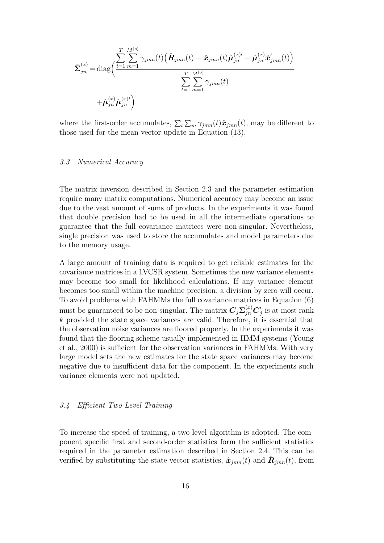$$
\hat{\Sigma}_{jn}^{(x)} = \text{diag}\left(\frac{\sum_{t=1}^{T} \sum_{m=1}^{M^{(o)}} \gamma_{jmn}(t) (\hat{\boldsymbol{R}}_{jmn}(t) - \hat{\boldsymbol{x}}_{jmn}(t) \hat{\boldsymbol{\mu}}_{jn}^{(x)\prime} - \hat{\boldsymbol{\mu}}_{jn}^{(x)} \hat{\boldsymbol{x}}_{jmn}'(t))}{\sum_{t=1}^{T} \sum_{m=1}^{M^{(o)}} \gamma_{jmn}(t)} + \hat{\boldsymbol{\mu}}_{jn}^{(x)} \hat{\boldsymbol{\mu}}_{jn}^{(x)\prime}\right)
$$

where the first-order accumulates,  $\sum_{t} \sum_{m} \gamma_{jmn}(t) \hat{\mathbf{x}}_{jmn}(t)$ , may be different to those used for the mean vector update in Equation (13).

#### 3.3 Numerical Accuracy

The matrix inversion described in Section 2.3 and the parameter estimation require many matrix computations. Numerical accuracy may become an issue due to the vast amount of sums of products. In the experiments it was found that double precision had to be used in all the intermediate operations to guarantee that the full covariance matrices were non-singular. Nevertheless, single precision was used to store the accumulates and model parameters due to the memory usage.

A large amount of training data is required to get reliable estimates for the covariance matrices in a LVCSR system. Sometimes the new variance elements may become too small for likelihood calculations. If any variance element becomes too small within the machine precision, a division by zero will occur. To avoid problems with FAHMMs the full covariance matrices in Equation (6) must be guaranteed to be non-singular. The matrix  $\bm{C}_j \bm{\Sigma}_{jn}^{(x)} \bm{C}_j'$  is at most rank  $k$  provided the state space variances are valid. Therefore, it is essential that the observation noise variances are floored properly. In the experiments it was found that the flooring scheme usually implemented in HMM systems (Young et al., 2000) is sufficient for the observation variances in FAHMMs. With very large model sets the new estimates for the state space variances may become negative due to insufficient data for the component. In the experiments such variance elements were not updated.

## 3.4 Efficient Two Level Training

To increase the speed of training, a two level algorithm is adopted. The component specific first and second-order statistics form the sufficient statistics required in the parameter estimation described in Section 2.4. This can be verified by substituting the state vector statistics,  $\hat{\mathbf{x}}_{jmn}(t)$  and  $\hat{\mathbf{R}}_{jmn}(t)$ , from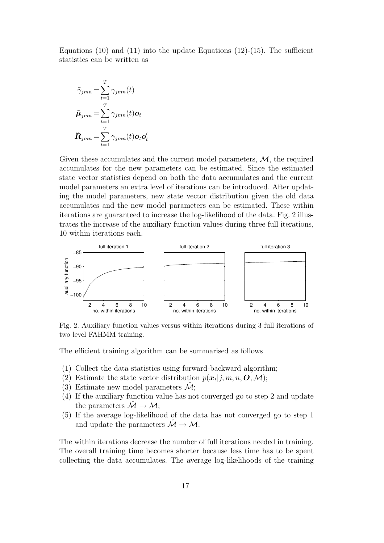Equations (10) and (11) into the update Equations (12)-(15). The sufficient statistics can be written as

$$
\tilde{\gamma}_{jmn} = \sum_{t=1}^{T} \gamma_{jmn}(t)
$$
\n
$$
\tilde{\boldsymbol{\mu}}_{jmn} = \sum_{t=1}^{T} \gamma_{jmn}(t) \boldsymbol{o}_t
$$
\n
$$
\tilde{\boldsymbol{R}}_{jmn} = \sum_{t=1}^{T} \gamma_{jmn}(t) \boldsymbol{o}_t \boldsymbol{o}_t'
$$

Given these accumulates and the current model parameters,  $\mathcal{M}$ , the required accumulates for the new parameters can be estimated. Since the estimated state vector statistics depend on both the data accumulates and the current model parameters an extra level of iterations can be introduced. After updating the model parameters, new state vector distribution given the old data accumulates and the new model parameters can be estimated. These within iterations are guaranteed to increase the log-likelihood of the data. Fig. 2 illustrates the increase of the auxiliary function values during three full iterations, 10 within iterations each.



Fig. 2. Auxiliary function values versus within iterations during 3 full iterations of two level FAHMM training.

The efficient training algorithm can be summarised as follows

- (1) Collect the data statistics using forward-backward algorithm;
- (2) Estimate the state vector distribution  $p(\boldsymbol{x}_t|j, m, n, \boldsymbol{O}, \mathcal{M});$
- (3) Estimate new model parameters  $\mathcal{\hat{M}}$ :
- (4) If the auxiliary function value has not converged go to step 2 and update the parameters  $\mathcal{M} \rightarrow \mathcal{M}$ ;
- (5) If the average log-likelihood of the data has not converged go to step 1 and update the parameters  $\mathcal{\hat{M}} \rightarrow \mathcal{M}$ .

The within iterations decrease the number of full iterations needed in training. The overall training time becomes shorter because less time has to be spent collecting the data accumulates. The average log-likelihoods of the training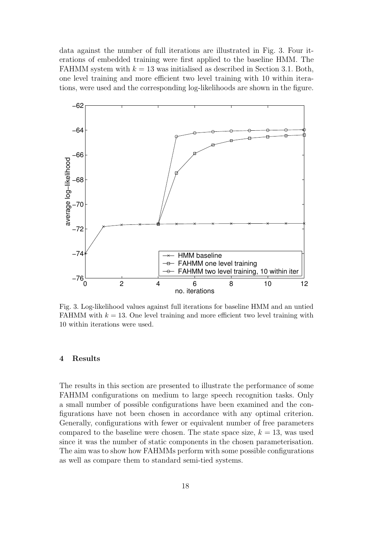data against the number of full iterations are illustrated in Fig. 3. Four iterations of embedded training were first applied to the baseline HMM. The FAHMM system with  $k = 13$  was initialised as described in Section 3.1. Both, one level training and more efficient two level training with 10 within iterations, were used and the corresponding log-likelihoods are shown in the figure.



Fig. 3. Log-likelihood values against full iterations for baseline HMM and an untied FAHMM with  $k = 13$ . One level training and more efficient two level training with 10 within iterations were used.

# 4 Results

The results in this section are presented to illustrate the performance of some FAHMM configurations on medium to large speech recognition tasks. Only a small number of possible configurations have been examined and the configurations have not been chosen in accordance with any optimal criterion. Generally, configurations with fewer or equivalent number of free parameters compared to the baseline were chosen. The state space size,  $k = 13$ , was used since it was the number of static components in the chosen parameterisation. The aim was to show how FAHMMs perform with some possible configurations as well as compare them to standard semi-tied systems.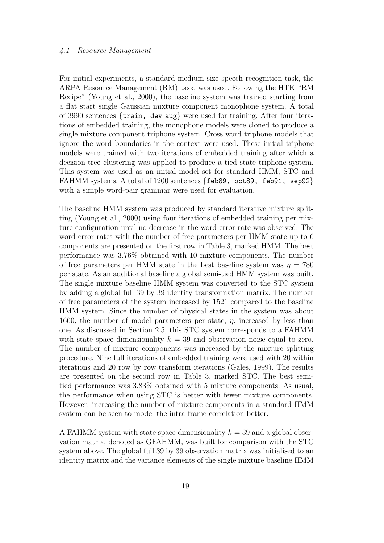## 4.1 Resource Management

For initial experiments, a standard medium size speech recognition task, the ARPA Resource Management (RM) task, was used. Following the HTK "RM Recipe" (Young et al., 2000), the baseline system was trained starting from a flat start single Gaussian mixture component monophone system. A total of 3990 sentences {train, dev aug} were used for training. After four iterations of embedded training, the monophone models were cloned to produce a single mixture component triphone system. Cross word triphone models that ignore the word boundaries in the context were used. These initial triphone models were trained with two iterations of embedded training after which a decision-tree clustering was applied to produce a tied state triphone system. This system was used as an initial model set for standard HMM, STC and FAHMM systems. A total of 1200 sentences {feb89, oct89, feb91, sep92} with a simple word-pair grammar were used for evaluation.

The baseline HMM system was produced by standard iterative mixture splitting (Young et al., 2000) using four iterations of embedded training per mixture configuration until no decrease in the word error rate was observed. The word error rates with the number of free parameters per HMM state up to 6 components are presented on the first row in Table 3, marked HMM. The best performance was 3.76% obtained with 10 mixture components. The number of free parameters per HMM state in the best baseline system was  $\eta = 780$ per state. As an additional baseline a global semi-tied HMM system was built. The single mixture baseline HMM system was converted to the STC system by adding a global full 39 by 39 identity transformation matrix. The number of free parameters of the system increased by 1521 compared to the baseline HMM system. Since the number of physical states in the system was about 1600, the number of model parameters per state,  $\eta$ , increased by less than one. As discussed in Section 2.5, this STC system corresponds to a FAHMM with state space dimensionality  $k = 39$  and observation noise equal to zero. The number of mixture components was increased by the mixture splitting procedure. Nine full iterations of embedded training were used with 20 within iterations and 20 row by row transform iterations (Gales, 1999). The results are presented on the second row in Table 3, marked STC. The best semitied performance was 3.83% obtained with 5 mixture components. As usual, the performance when using STC is better with fewer mixture components. However, increasing the number of mixture components in a standard HMM system can be seen to model the intra-frame correlation better.

A FAHMM system with state space dimensionality  $k = 39$  and a global observation matrix, denoted as GFAHMM, was built for comparison with the STC system above. The global full 39 by 39 observation matrix was initialised to an identity matrix and the variance elements of the single mixture baseline HMM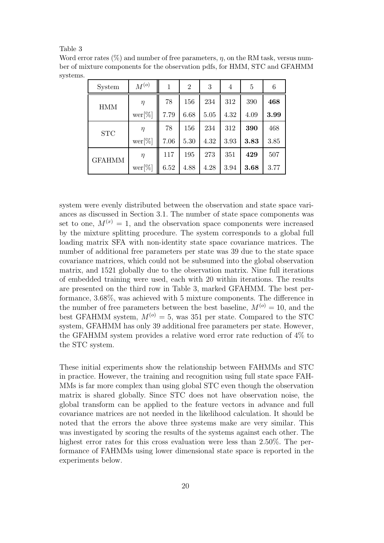#### Table 3

Word error rates  $(\%)$  and number of free parameters, n, on the RM task, versus number of mixture components for the observation pdfs, for HMM, STC and GFAHMM systems.

| System        | $M^{(o)}$        | 1    | $\overline{2}$ | 3    | 4    | 5    | 6    |
|---------------|------------------|------|----------------|------|------|------|------|
| <b>HMM</b>    | $\eta$           | 78   | 156            | 234  | 312  | 390  | 468  |
|               | $\text{wer}[\%]$ | 7.79 | 6.68           | 5.05 | 4.32 | 4.09 | 3.99 |
| <b>STC</b>    | $\eta$           | 78   | 156            | 234  | 312  | 390  | 468  |
|               | $wer[\%]$        | 7.06 | 5.30           | 4.32 | 3.93 | 3.83 | 3.85 |
| <b>GFAHMM</b> | $\eta$           | 117  | 195            | 273  | 351  | 429  | 507  |
|               | $wer[\%]$        | 6.52 | 4.88           | 4.28 | 3.94 | 3.68 | 3.77 |

system were evenly distributed between the observation and state space variances as discussed in Section 3.1. The number of state space components was set to one,  $M^{(x)} = 1$ , and the observation space components were increased by the mixture splitting procedure. The system corresponds to a global full loading matrix SFA with non-identity state space covariance matrices. The number of additional free parameters per state was 39 due to the state space covariance matrices, which could not be subsumed into the global observation matrix, and 1521 globally due to the observation matrix. Nine full iterations of embedded training were used, each with 20 within iterations. The results are presented on the third row in Table 3, marked GFAHMM. The best performance, 3.68%, was achieved with 5 mixture components. The difference in the number of free parameters between the best baseline,  $M^{(o)} = 10$ , and the best GFAHMM system,  $M^{(o)} = 5$ , was 351 per state. Compared to the STC system, GFAHMM has only 39 additional free parameters per state. However, the GFAHMM system provides a relative word error rate reduction of 4% to the STC system.

These initial experiments show the relationship between FAHMMs and STC in practice. However, the training and recognition using full state space FAH-MMs is far more complex than using global STC even though the observation matrix is shared globally. Since STC does not have observation noise, the global transform can be applied to the feature vectors in advance and full covariance matrices are not needed in the likelihood calculation. It should be noted that the errors the above three systems make are very similar. This was investigated by scoring the results of the systems against each other. The highest error rates for this cross evaluation were less than 2.50%. The performance of FAHMMs using lower dimensional state space is reported in the experiments below.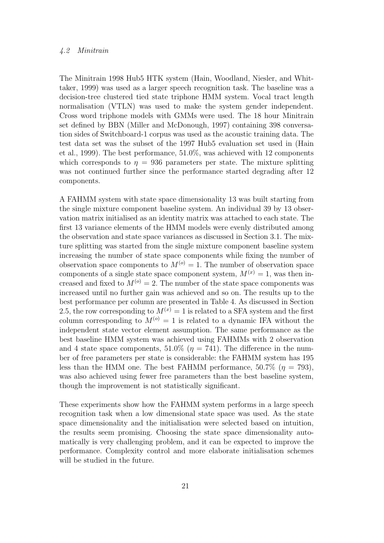## 4.2 Minitrain

The Minitrain 1998 Hub5 HTK system (Hain, Woodland, Niesler, and Whittaker, 1999) was used as a larger speech recognition task. The baseline was a decision-tree clustered tied state triphone HMM system. Vocal tract length normalisation (VTLN) was used to make the system gender independent. Cross word triphone models with GMMs were used. The 18 hour Minitrain set defined by BBN (Miller and McDonough, 1997) containing 398 conversation sides of Switchboard-1 corpus was used as the acoustic training data. The test data set was the subset of the 1997 Hub5 evaluation set used in (Hain et al., 1999). The best performance, 51.0%, was achieved with 12 components which corresponds to  $\eta = 936$  parameters per state. The mixture splitting was not continued further since the performance started degrading after 12 components.

A FAHMM system with state space dimensionality 13 was built starting from the single mixture component baseline system. An individual 39 by 13 observation matrix initialised as an identity matrix was attached to each state. The first 13 variance elements of the HMM models were evenly distributed among the observation and state space variances as discussed in Section 3.1. The mixture splitting was started from the single mixture component baseline system increasing the number of state space components while fixing the number of observation space components to  $M^{(o)} = 1$ . The number of observation space components of a single state space component system,  $M^{(x)} = 1$ , was then increased and fixed to  $M^{(o)} = 2$ . The number of the state space components was increased until no further gain was achieved and so on. The results up to the best performance per column are presented in Table 4. As discussed in Section 2.5, the row corresponding to  $M^{(\tilde{x})} = 1$  is related to a SFA system and the first column corresponding to  $M^{(o)} = 1$  is related to a dynamic IFA without the independent state vector element assumption. The same performance as the best baseline HMM system was achieved using FAHMMs with 2 observation and 4 state space components,  $51.0\%$  ( $\eta = 741$ ). The difference in the number of free parameters per state is considerable: the FAHMM system has 195 less than the HMM one. The best FAHMM performance, 50.7% ( $\eta = 793$ ), was also achieved using fewer free parameters than the best baseline system, though the improvement is not statistically significant.

These experiments show how the FAHMM system performs in a large speech recognition task when a low dimensional state space was used. As the state space dimensionality and the initialisation were selected based on intuition, the results seem promising. Choosing the state space dimensionality automatically is very challenging problem, and it can be expected to improve the performance. Complexity control and more elaborate initialisation schemes will be studied in the future.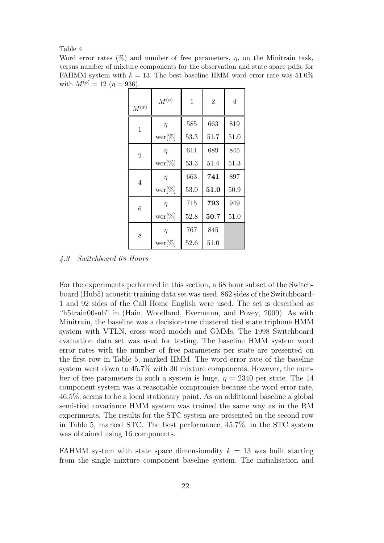## Table 4

Word error rates  $(\%)$  and number of free parameters,  $\eta$ , on the Minitrain task, versus number of mixture components for the observation and state space pdfs, for FAHMM system with  $k = 13$ . The best baseline HMM word error rate was  $51.0\%$ with  $M^{(o)} = 12$  ( $\eta = 936$ ).

| $M^{(x)}$      | $M^{(o)}$        | 1    | $\overline{2}$      | 4    |  |
|----------------|------------------|------|---------------------|------|--|
| 1              | $\eta$           | 585  | 663                 | 819  |  |
|                | $\text{wer}[\%]$ | 53.3 | 51.7                | 51.0 |  |
| $\overline{2}$ | $\eta$           | 611  | 689                 | 845  |  |
|                | $\text{wer}[\%]$ | 53.3 | 51.4                | 51.3 |  |
| 4              | η                | 663  | 741                 | 897  |  |
|                | $\text{wer}[\%]$ | 53.0 | $\boldsymbol{51.0}$ | 50.9 |  |
| 6              | $\eta$           | 715  | 793                 | 949  |  |
|                | $\text{wer}[\%]$ | 52.8 | 50.7                | 51.0 |  |
| 8              | $\eta$           | 767  | 845                 |      |  |
|                | $\text{wer}[\%]$ | 52.6 | 51.0                |      |  |

# 4.3 Switchboard 68 Hours

For the experiments performed in this section, a 68 hour subset of the Switchboard (Hub5) acoustic training data set was used. 862 sides of the Switchboard-1 and 92 sides of the Call Home English were used. The set is described as "h5train00sub" in (Hain, Woodland, Evermann, and Povey, 2000). As with Minitrain, the baseline was a decision-tree clustered tied state triphone HMM system with VTLN, cross word models and GMMs. The 1998 Switchboard evaluation data set was used for testing. The baseline HMM system word error rates with the number of free parameters per state are presented on the first row in Table 5, marked HMM. The word error rate of the baseline system went down to 45.7% with 30 mixture components. However, the number of free parameters in such a system is huge,  $\eta = 2340$  per state. The 14 component system was a reasonable compromise because the word error rate, 46.5%, seems to be a local stationary point. As an additional baseline a global semi-tied covariance HMM system was trained the same way as in the RM experiments. The results for the STC system are presented on the second row in Table 5, marked STC. The best performance, 45.7%, in the STC system was obtained using 16 components.

FAHMM system with state space dimensionality  $k = 13$  was built starting from the single mixture component baseline system. The initialisation and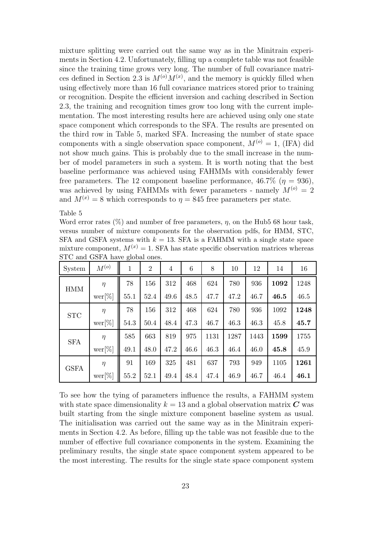mixture splitting were carried out the same way as in the Minitrain experiments in Section 4.2. Unfortunately, filling up a complete table was not feasible since the training time grows very long. The number of full covariance matrices defined in Section 2.3 is  $M^{(o)}M^{(x)}$ , and the memory is quickly filled when using effectively more than 16 full covariance matrices stored prior to training or recognition. Despite the efficient inversion and caching described in Section 2.3, the training and recognition times grow too long with the current implementation. The most interesting results here are achieved using only one state space component which corresponds to the SFA. The results are presented on the third row in Table 5, marked SFA. Increasing the number of state space components with a single observation space component,  $M^{(o)} = 1$ , (IFA) did not show much gains. This is probably due to the small increase in the number of model parameters in such a system. It is worth noting that the best baseline performance was achieved using FAHMMs with considerably fewer free parameters. The 12 component baseline performance,  $46.7\%$  ( $\eta = 936$ ), was achieved by using FAHMMs with fewer parameters - namely  $M^{(o)} = 2$ and  $M^{(x)} = 8$  which corresponds to  $\eta = 845$  free parameters per state.

Table 5

Word error rates  $(\%)$  and number of free parameters,  $\eta$ , on the Hub5 68 hour task, versus number of mixture components for the observation pdfs, for HMM, STC, SFA and GSFA systems with  $k = 13$ . SFA is a FAHMM with a single state space mixture component,  $M^{(x)} = 1$ . SFA has state specific observation matrices whereas STC and GSFA have global ones.

| System      | $M^{(o)}$        | 1    | $\overline{2}$ | 4    | 6    | 8    | 10   | 12   | 14   | 16   |
|-------------|------------------|------|----------------|------|------|------|------|------|------|------|
| <b>HMM</b>  | $\eta$           | 78   | 156            | 312  | 468  | 624  | 780  | 936  | 1092 | 1248 |
|             | $\text{wer}[\%]$ | 55.1 | 52.4           | 49.6 | 48.5 | 47.7 | 47.2 | 46.7 | 46.5 | 46.5 |
| <b>STC</b>  | $\eta$           | 78   | 156            | 312  | 468  | 624  | 780  | 936  | 1092 | 1248 |
|             | $\text{wer}[\%]$ | 54.3 | 50.4           | 48.4 | 47.3 | 46.7 | 46.3 | 46.3 | 45.8 | 45.7 |
| <b>SFA</b>  | $\eta$           | 585  | 663            | 819  | 975  | 1131 | 1287 | 1443 | 1599 | 1755 |
|             | $\text{wer}[\%]$ | 49.1 | 48.0           | 47.2 | 46.6 | 46.3 | 46.4 | 46.0 | 45.8 | 45.9 |
| <b>GSFA</b> | $\eta$           | 91   | 169            | 325  | 481  | 637  | 793  | 949  | 1105 | 1261 |
|             | $\text{wer}[\%]$ | 55.2 | 52.1           | 49.4 | 48.4 | 47.4 | 46.9 | 46.7 | 46.4 | 46.1 |

To see how the tying of parameters influence the results, a FAHMM system with state space dimensionality  $k = 13$  and a global observation matrix C was built starting from the single mixture component baseline system as usual. The initialisation was carried out the same way as in the Minitrain experiments in Section 4.2. As before, filling up the table was not feasible due to the number of effective full covariance components in the system. Examining the preliminary results, the single state space component system appeared to be the most interesting. The results for the single state space component system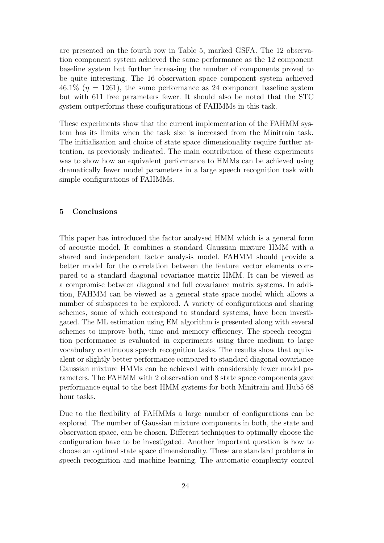are presented on the fourth row in Table 5, marked GSFA. The 12 observation component system achieved the same performance as the 12 component baseline system but further increasing the number of components proved to be quite interesting. The 16 observation space component system achieved 46.1% ( $\eta = 1261$ ), the same performance as 24 component baseline system but with 611 free parameters fewer. It should also be noted that the STC system outperforms these configurations of FAHMMs in this task.

These experiments show that the current implementation of the FAHMM system has its limits when the task size is increased from the Minitrain task. The initialisation and choice of state space dimensionality require further attention, as previously indicated. The main contribution of these experiments was to show how an equivalent performance to HMMs can be achieved using dramatically fewer model parameters in a large speech recognition task with simple configurations of FAHMMs.

## 5 Conclusions

This paper has introduced the factor analysed HMM which is a general form of acoustic model. It combines a standard Gaussian mixture HMM with a shared and independent factor analysis model. FAHMM should provide a better model for the correlation between the feature vector elements compared to a standard diagonal covariance matrix HMM. It can be viewed as a compromise between diagonal and full covariance matrix systems. In addition, FAHMM can be viewed as a general state space model which allows a number of subspaces to be explored. A variety of configurations and sharing schemes, some of which correspond to standard systems, have been investigated. The ML estimation using EM algorithm is presented along with several schemes to improve both, time and memory efficiency. The speech recognition performance is evaluated in experiments using three medium to large vocabulary continuous speech recognition tasks. The results show that equivalent or slightly better performance compared to standard diagonal covariance Gaussian mixture HMMs can be achieved with considerably fewer model parameters. The FAHMM with 2 observation and 8 state space components gave performance equal to the best HMM systems for both Minitrain and Hub5 68 hour tasks.

Due to the flexibility of FAHMMs a large number of configurations can be explored. The number of Gaussian mixture components in both, the state and observation space, can be chosen. Different techniques to optimally choose the configuration have to be investigated. Another important question is how to choose an optimal state space dimensionality. These are standard problems in speech recognition and machine learning. The automatic complexity control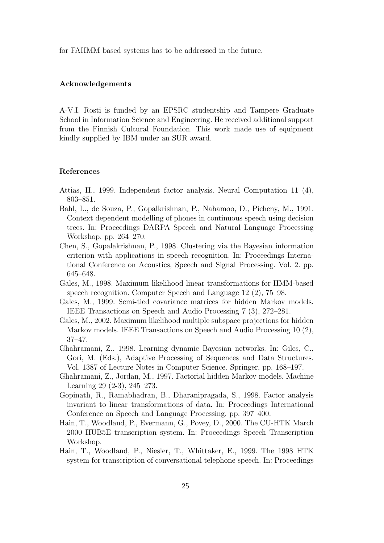for FAHMM based systems has to be addressed in the future.

## Acknowledgements

A-V.I. Rosti is funded by an EPSRC studentship and Tampere Graduate School in Information Science and Engineering. He received additional support from the Finnish Cultural Foundation. This work made use of equipment kindly supplied by IBM under an SUR award.

#### References

- Attias, H., 1999. Independent factor analysis. Neural Computation 11 (4), 803–851.
- Bahl, L., de Souza, P., Gopalkrishnan, P., Nahamoo, D., Picheny, M., 1991. Context dependent modelling of phones in continuous speech using decision trees. In: Proceedings DARPA Speech and Natural Language Processing Workshop. pp. 264–270.
- Chen, S., Gopalakrishnan, P., 1998. Clustering via the Bayesian information criterion with applications in speech recognition. In: Proceedings International Conference on Acoustics, Speech and Signal Processing. Vol. 2. pp. 645–648.
- Gales, M., 1998. Maximum likelihood linear transformations for HMM-based speech recognition. Computer Speech and Language 12 (2), 75–98.
- Gales, M., 1999. Semi-tied covariance matrices for hidden Markov models. IEEE Transactions on Speech and Audio Processing 7 (3), 272–281.
- Gales, M., 2002. Maximum likelihood multiple subspace projections for hidden Markov models. IEEE Transactions on Speech and Audio Processing 10 (2), 37–47.
- Ghahramani, Z., 1998. Learning dynamic Bayesian networks. In: Giles, C., Gori, M. (Eds.), Adaptive Processing of Sequences and Data Structures. Vol. 1387 of Lecture Notes in Computer Science. Springer, pp. 168–197.
- Ghahramani, Z., Jordan, M., 1997. Factorial hidden Markov models. Machine Learning 29 (2-3), 245–273.
- Gopinath, R., Ramabhadran, B., Dharanipragada, S., 1998. Factor analysis invariant to linear transformations of data. In: Proceedings International Conference on Speech and Language Processing. pp. 397–400.
- Hain, T., Woodland, P., Evermann, G., Povey, D., 2000. The CU-HTK March 2000 HUB5E transcription system. In: Proceedings Speech Transcription Workshop.
- Hain, T., Woodland, P., Niesler, T., Whittaker, E., 1999. The 1998 HTK system for transcription of conversational telephone speech. In: Proceedings